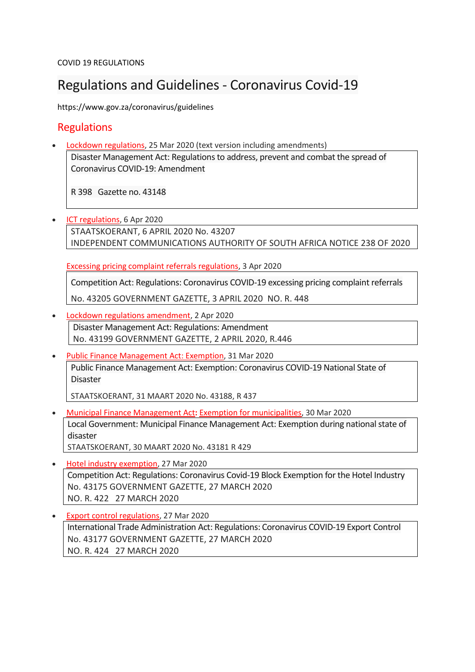COVID 19 REGULATIONS

# Regulations and Guidelines - Coronavirus Covid-19

https://www.gov.za/coronavirus/guidelines

## **Regulations**

• Lockdown [regulations,](http://www.gov.za/documents/disaster-management-act-regulations-address-prevent-and-combat-spread-coronavirus-covid-19) 25 Mar 2020 (text version including amendments)

Disaster Management Act: Regulations to address, prevent and combat the spread of Coronavirus COVID-19: Amendment

R 398 Gazette no. 43148

• ICT [regulations,](https://www.gov.za/documents/independent-communications-authority-south-africa-act-regulations-information-and) 6 Apr 2020 STAATSKOERANT, 6 APRIL 2020 No. 43207 INDEPENDENT COMMUNICATIONS AUTHORITY OF SOUTH AFRICA NOTICE 238 OF 2020

Excessing pricing complaint referrals [regulations,](https://www.gov.za/documents/competition-act-regulations-coronavirus-covid-19-excessing-pricing-complaint-referrals-3) 3 Apr 2020

Competition Act: Regulations: Coronavirus COVID-19 excessing pricing complaint referrals

No. 43205 GOVERNMENT GAZETTE, 3 APRIL 2020 NO. R. 448

- Lockdown regulations [amendment,](https://www.gov.za/documents/disaster-management-act-regulations-amendment-2-apr-2020-0000) 2 Apr 2020 Disaster Management Act: Regulations: Amendment No. 43199 GOVERNMENT GAZETTE, 2 APRIL 2020, R.446
- Public Finance [Management](https://www.gov.za/documents/public-finance-management-act-exemption-coronavirus-covid-19-national-state-disaster-31) Act: Exemption, 31 Mar 2020 Public Finance Management Act: Exemption: Coronavirus COVID-19 National State of Disaster

STAATSKOERANT, 31 MAART 2020 No. 43188, R 437

- Municipal Finance [Management](https://www.gov.za/documents/municipal-finance-management-act-local-government-exemption-act-and-regulations-30-mar) Act**:** Exemption for [municipalities,](https://www.gov.za/documents/municipal-finance-management-act-local-government-exemption-act-and-regulations-30-mar) 30 Mar 2020 Local Government: Municipal Finance Management Act: Exemption during national state of disaster STAATSKOERANT, 30 MAART 2020 No. 43181 R 429
- Hotel industry [exemption,](https://www.gov.za/documents/competition-act-regulations-coronavirus-covid-19-block-exemption-hotel-industry-27-mar) 27 Mar 2020 Competition Act: Regulations: Coronavirus Covid-19 Block Exemption for the Hotel Industry No. 43175 GOVERNMENT GAZETTE, 27 MARCH 2020 NO. R. 422 27 MARCH 2020
- Export control [regulations,](https://www.gov.za/documents/international-trade-administration-act-regulations-coronavirus-covid-19-export-control-27) 27 Mar 2020 International Trade Administration Act: Regulations: Coronavirus COVID-19 Export Control No. 43177 GOVERNMENT GAZETTE, 27 MARCH 2020 NO. R. 424 27 MARCH 2020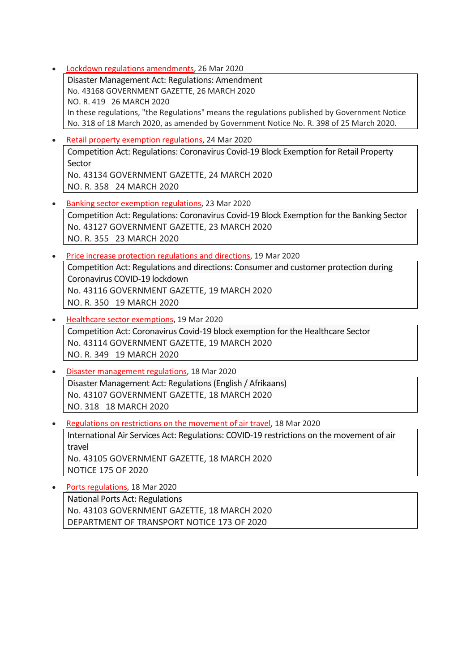• Lockdown regulations [amendments,](https://www.gov.za/documents/disaster-management-act-amendment-regulations-26-mar-2020-0000) 26 Mar 2020

Disaster Management Act: Regulations: Amendment No. 43168 GOVERNMENT GAZETTE, 26 MARCH 2020 NO. R. 419 26 MARCH 2020 In these regulations, "the Regulations" means the regulations published by Government Notice No. 318 of 18 March 2020, as amended by Government Notice No. R. 398 of 25 March 2020.

- Retail property exemption [regulations,](http://www.gov.za/documents/competition-act-coronavirus-covid-19-block-exemption-retail-property-sector-24-mar-2020) 24 Mar 2020 Competition Act: Regulations: Coronavirus Covid-19 Block Exemption for Retail Property Sector No. 43134 GOVERNMENT GAZETTE, 24 MARCH 2020 NO. R. 358 24 MARCH 2020
- Banking sector exemption [regulations,](http://www.gov.za/documents/competition-act-coronavirus-covid-19-block-exemption-banking-sector-23-mar-2020-0000) 23 Mar 2020 Competition Act: Regulations: Coronavirus Covid-19 Block Exemption for the Banking Sector No. 43127 GOVERNMENT GAZETTE, 23 MARCH 2020 NO. R. 355 23 MARCH 2020
- Price increase protection [regulations](http://www.gov.za/documents/competition-act-regulations-consumer-and-customer-protection-and-national-disaster) and directions, 19 Mar 2020 Competition Act: Regulations and directions: Consumer and customer protection during Coronavirus COVID-19 lockdown No. 43116 GOVERNMENT GAZETTE, 19 MARCH 2020 NO. R. 350 19 MARCH 2020
- Healthcare sector [exemptions,](http://www.gov.za/documents/competition-act-coronavirus-covid-19-block-exemption-healthcare-sector-19-mar-2020-0000) 19 Mar 2020 Competition Act: Coronavirus Covid-19 block exemption for the Healthcare Sector No. 43114 GOVERNMENT GAZETTE, 19 MARCH 2020 NO. R. 349 19 MARCH 2020
- Disaster [management](http://www.gov.za/documents/disaster-management-act-regulations-english-afrikaans-18-mar-2020-0000) regulations, 18 Mar 2020 Disaster Management Act: Regulations (English / Afrikaans) No. 43107 GOVERNMENT GAZETTE, 18 MARCH 2020 NO. 318 18 MARCH 2020
- [Regulations](https://www.gov.za/documents/international-air-services-act-regulations-covid-19-restrictions-movement-air-travel-18) on restrictions on the movement of air travel, 18 Mar 2020 International Air Services Act: Regulations: COVID-19 restrictions on the movement of air travel No. 43105 GOVERNMENT GAZETTE, 18 MARCH 2020 NOTICE 175 OF 2020

• Ports [regulations,](http://www.gov.za/documents/national-ports-act-regulations-18-mar-2020-0000) 18 Mar 2020 National Ports Act: Regulations No. 43103 GOVERNMENT GAZETTE, 18 MARCH 2020 DEPARTMENT OF TRANSPORT NOTICE 173 OF 2020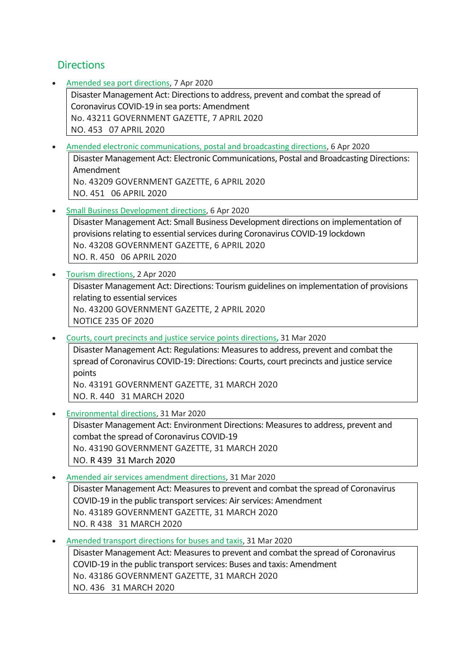### **Directions**

• Amended sea port [directions,](https://www.gov.za/documents/disaster-management-act-directions-address-prevent-and-combat-spread-coronavirus-covid-0) 7 Apr 2020

Disaster Management Act: Directions to address, prevent and combat the spread of Coronavirus COVID-19 in sea ports: Amendment No. 43211 GOVERNMENT GAZETTE, 7 APRIL 2020 NO. 453 07 APRIL 2020

- Amended electronic [communications,](https://www.gov.za/documents/disaster-management-act-electronic-communications-postal-and-broadcasting-directions) postal and broadcasting directions, 6 Apr 2020 Disaster Management Act: Electronic Communications, Postal and Broadcasting Directions: Amendment No. 43209 GOVERNMENT GAZETTE, 6 APRIL 2020 NO. 451 06 APRIL 2020
- Small Business [Development](https://www.gov.za/documents/disaster-management-act-small-business-development-implementation-provisions-relating) directions, 6 Apr 2020
	- Disaster Management Act: Small Business Development directions on implementation of provisions relating to essential services during Coronavirus COVID-19 lockdown No. 43208 GOVERNMENT GAZETTE, 6 APRIL 2020 NO. R. 450 06 APRIL 2020
- Tourism [directions,](https://www.gov.za/documents/disaster-management-act-directions-tourism-guidelines-implementation-provisions-relating) 2 Apr 2020 Disaster Management Act: Directions: Tourism guidelines on implementation of provisions relating to essential services No. 43200 GOVERNMENT GAZETTE, 2 APRIL 2020 NOTICE 235 OF 2020
- Courts, court precincts and justice service points [directions](https://www.gov.za/documents/disaster-management-act-regulations-measures-address-prevent-and-combat-spread-coronavirus)**,** 31 Mar 2020

Disaster Management Act: Regulations: Measures to address, prevent and combat the spread of Coronavirus COVID-19: Directions: Courts, court precincts and justice service points

No. 43191 GOVERNMENT GAZETTE, 31 MARCH 2020 NO. R. 440 31 MARCH 2020

• [Environmental](https://www.gov.za/documents/disaster-management-act-environment-directions-measures-address-prevent-and-combat-spread) directions, 31 Mar 2020

Disaster Management Act: Environment Directions: Measures to address, prevent and combat the spread of Coronavirus COVID-19 No. 43190 GOVERNMENT GAZETTE, 31 MARCH 2020 NO. R 439 31 March 2020

- Amended air services [amendment](https://www.gov.za/documents/disaster-management-act-amendment-measures-prevent-and-combat-spread-covid-19-air-services) directions, 31 Mar 2020 Disaster Management Act: Measures to prevent and combat the spread of Coronavirus COVID-19 in the public transport services: Air services: Amendment No. 43189 GOVERNMENT GAZETTE, 31 MARCH 2020 NO. R 438 31 MARCH 2020
- Amended transport [directions](https://www.gov.za/documents/disaster-management-act-amendment-measures-prevent-and-combat-spread-covid-19-public) for buses and taxis, 31 Mar 2020

Disaster Management Act: Measures to prevent and combat the spread of Coronavirus COVID-19 in the public transport services: Buses and taxis: Amendment No. 43186 GOVERNMENT GAZETTE, 31 MARCH 2020 NO. 436 31 MARCH 2020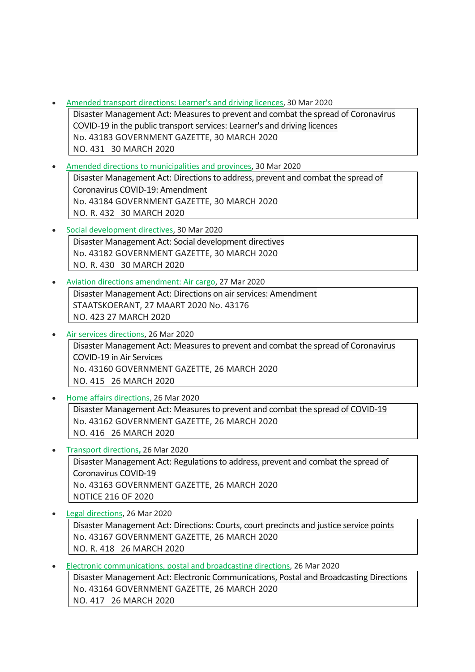- Amended transport [directions:](https://www.gov.za/documents/disaster-management-amendment-directions-30-mar-2020-0000) Learner's and driving licences, 30 Mar 2020 Disaster Management Act: Measures to prevent and combat the spread of Coronavirus COVID-19 in the public transport services: Learner's and driving licences No. 43183 GOVERNMENT GAZETTE, 30 MARCH 2020 NO. 431 30 MARCH 2020
- Amended directions to [municipalities](https://www.gov.za/documents/disaster-management-act-directions-issued-terms-section-27-30-mar-2020-0000) and provinces, 30 Mar 2020 Disaster Management Act: Directions to address, prevent and combat the spread of Coronavirus COVID-19: Amendment No. 43184 GOVERNMENT GAZETTE, 30 MARCH 2020 NO. R. 432 30 MARCH 2020
- Social [development](https://www.gov.za/documents/disaster-management-act-directions-issued-terms-regulation-10-30-mar-2020-0000) directives, 30 Mar 2020 Disaster Management Act: Social development directives No. 43182 GOVERNMENT GAZETTE, 30 MARCH 2020 NO. R. 430 30 MARCH 2020
- Aviation directions [amendment:](https://www.gov.za/documents/disaster-management-act-directives-aviation-transport-amendment-27-mar-2020-0000) Air cargo, 27 Mar 2020 Disaster Management Act: Directions on air services: Amendment STAATSKOERANT, 27 MAART 2020 No. 43176 NO. 423 27 MARCH 2020
- Air services [directions,](https://www.gov.za/documents/disaster-management-act-measures-prevent-and-combat-spread-coronavirus-covid-19-air) 26 Mar 2020 Disaster Management Act: Measures to prevent and combat the spread of Coronavirus COVID-19 in Air Services No. 43160 GOVERNMENT GAZETTE, 26 MARCH 2020 NO. 415 26 MARCH 2020
- Home affairs [directions,](https://www.gov.za/documents/disaster-management-act-measures-prevent-and-combat-spread-covid-19-26-mar-2020-0000) 26 Mar 2020 Disaster Management Act: Measures to prevent and combat the spread of COVID-19 No. 43162 GOVERNMENT GAZETTE, 26 MARCH 2020 NO. 416 26 MARCH 2020
- Transport [directions](https://www.gov.za/documents/disaster-management-act-regulations-address-prevent-and-combat-spread-coronavirus-covid-0)**,** 26 Mar 2020 Disaster Management Act: Regulations to address, prevent and combat the spread of Coronavirus COVID-19 No. 43163 GOVERNMENT GAZETTE, 26 MARCH 2020 NOTICE 216 OF 2020
- Legal [directions,](https://www.gov.za/documents/disaster-management-act-directions-issued-26-mar-2020-0000) 26 Mar 2020 Disaster Management Act: Directions: Courts, court precincts and justice service points No. 43167 GOVERNMENT GAZETTE, 26 MARCH 2020 NO. R. 418 26 MARCH 2020
- Electronic [communications,](https://www.gov.za/documents/disaster-management-act-electronic-communications-postal-and-broadcasting-directions-26) postal and broadcasting directions, 26 Mar 2020 Disaster Management Act: Electronic Communications, Postal and Broadcasting Directions No. 43164 GOVERNMENT GAZETTE, 26 MARCH 2020 NO. 417 26 MARCH 2020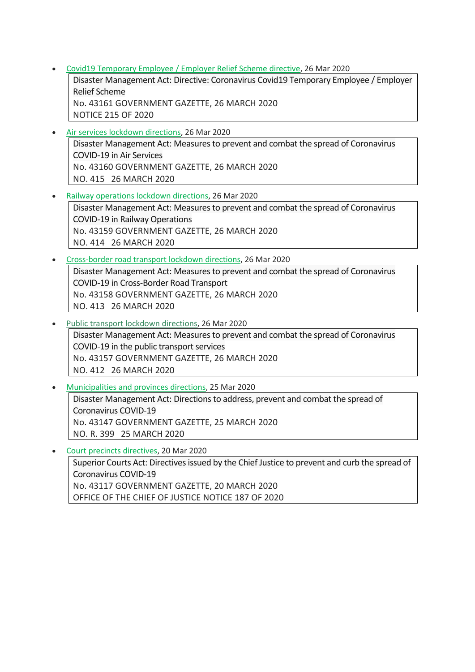• Covid19 [Temporary](https://www.gov.za/documents/disaster-management-act-directive-coronavirus-covid19-temporary-employee-employer-relief) Employee / Employer Relief Scheme directive, 26 Mar 2020

Disaster Management Act: Directive: Coronavirus Covid19 Temporary Employee / Employer Relief Scheme No. 43161 GOVERNMENT GAZETTE, 26 MARCH 2020

NOTICE 215 OF 2020

- Air services lockdown [directions,](https://www.gov.za/documents/disaster-management-act-measures-prevent-and-combat-spread-coronavirus-covid-19-air) 26 Mar 2020 Disaster Management Act: Measures to prevent and combat the spread of Coronavirus COVID-19 in Air Services No. 43160 GOVERNMENT GAZETTE, 26 MARCH 2020 NO. 415 26 MARCH 2020
- Railway [operations](https://www.gov.za/documents/disaster-management-act-measures-prevent-and-combat-spread-coronavirus-covid-19-railway) lockdown directions, 26 Mar 2020 Disaster Management Act: Measures to prevent and combat the spread of Coronavirus COVID-19 in Railway Operations No. 43159 GOVERNMENT GAZETTE, 26 MARCH 2020 NO. 414 26 MARCH 2020
- [Cross-border](https://www.gov.za/documents/disaster-management-act-measures-prevent-and-combat-spread-coronavirus-covid-19-cross) road transport lockdown directions, 26 Mar 2020 Disaster Management Act: Measures to prevent and combat the spread of Coronavirus COVID-19 in Cross-Border Road Transport No. 43158 GOVERNMENT GAZETTE, 26 MARCH 2020 NO. 413 26 MARCH 2020
- Public transport lockdown [directions,](https://www.gov.za/documents/disaster-management-act-measures-prevent-and-combat-spread-coronavirus-covid-19-public) 26 Mar 2020
- Disaster Management Act: Measures to prevent and combat the spread of Coronavirus COVID-19 in the public transport services No. 43157 GOVERNMENT GAZETTE, 26 MARCH 2020 NO. 412 26 MARCH 2020
- [Municipalities](http://www.gov.za/documents/disaster-management-act-directions-address-prevent-and-combat-spread-coronavirus-covid-19) and provinces directions, 25 Mar 2020 Disaster Management Act: Directions to address, prevent and combat the spread of Coronavirus COVID-19 No. 43147 GOVERNMENT GAZETTE, 25 MARCH 2020 NO. R. 399 25 MARCH 2020
- Court precincts [directives,](https://www.gov.za/documents/superior-courts-act-directives-issued-chief-justice-prevent-and-curb-spread-coronavirus) 20 Mar 2020 Superior Courts Act: Directives issued by the Chief Justice to prevent and curb the spread of Coronavirus COVID-19 No. 43117 GOVERNMENT GAZETTE, 20 MARCH 2020 OFFICE OF THE CHIEF OF JUSTICE NOTICE 187 OF 2020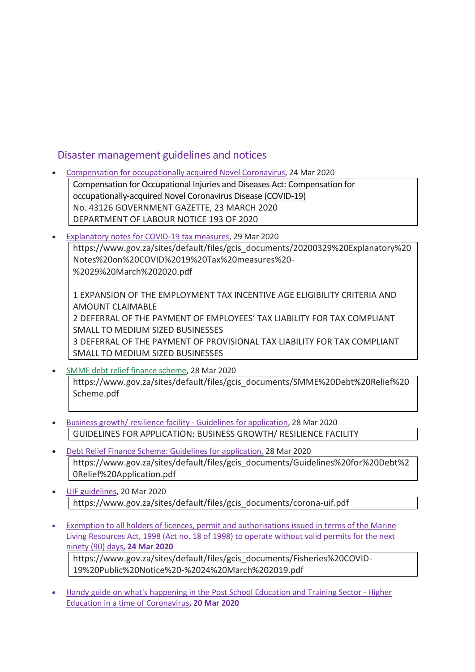### Disaster management guidelines and notices

- Compensation for [occupationally](http://www.gov.za/documents/compensation-occupational-injuries-and-diseases-act-compensation-occupationally-acquired-0) acquired Novel Coronavirus, 24 Mar 2020 Compensation for Occupational Injuries and Diseases Act: Compensation for occupationally-acquired Novel Coronavirus Disease (COVID-19) No. 43126 GOVERNMENT GAZETTE, 23 MARCH 2020 DEPARTMENT OF LABOUR NOTICE 193 OF 2020
- [Explanatory](https://www.gov.za/sites/default/files/gcis_documents/20200329%20Explanatory%20Notes%20on%20COVID%2019%20Tax%20measures%20-%2029%20March%202020.pdf) notes for COVID-19 tax measures, 29 Mar 2020

https://www.gov.za/sites/default/files/gcis\_documents/20200329%20Explanatory%20 Notes%20on%20COVID%2019%20Tax%20measures%20- %2029%20March%202020.pdf

1 EXPANSION OF THE EMPLOYMENT TAX INCENTIVE AGE ELIGIBILITY CRITERIA AND AMOUNT CLAIMABLE 2 DEFERRAL OF THE PAYMENT OF EMPLOYEES' TAX LIABILITY FOR TAX COMPLIANT SMALL TO MEDIUM SIZED BUSINESSES 3 DEFERRAL OF THE PAYMENT OF PROVISIONAL TAX LIABILITY FOR TAX COMPLIANT SMALL TO MEDIUM SIZED BUSINESSES

- SMME debt relief finance [scheme,](https://www.gov.za/sites/default/files/gcis_documents/SMME%20Debt%20Relief%20Scheme.pdf) 28 Mar 2020 https://www.gov.za/sites/default/files/gcis\_documents/SMME%20Debt%20Relief%20 Scheme.pdf
- Business growth/ resilience facility Guidelines for [application,](https://www.gov.za/sites/default/files/gcis_documents/Guidelines%20for%20Business%20Growth%20Resilience%20Facility%20Application%20%2028%20March.._.pdf) 28 Mar 2020 GUIDELINES FOR APPLICATION: BUSINESS GROWTH/ RESILIENCE FACILITY
- Debt Relief Finance Scheme: Guidelines for [application,](https://www.gov.za/sites/default/files/gcis_documents/Guidelines%20for%20Debt%20Relief%20Application.pdf) 28 Mar 2020 https://www.gov.za/sites/default/files/gcis\_documents/Guidelines%20for%20Debt%2 0Relief%20Application.pdf
- UIF [guidelines,](https://www.gov.za/sites/default/files/gcis_documents/corona-uif.pdf) 20 Mar 2020 https://www.gov.za/sites/default/files/gcis\_documents/corona-uif.pdf
- Exemption to all holders of licences, permit and [authorisations](https://www.gov.za/sites/default/files/gcis_documents/Fisheries%20COVID-19%20Public%20Notice%20-%2024%20March%202019.pdf) issued in terms of the Marine Living [Resources](https://www.gov.za/sites/default/files/gcis_documents/Fisheries%20COVID-19%20Public%20Notice%20-%2024%20March%202019.pdf) Act, 1998 (Act no. 18 of 1998) to operate without valid permits for the next [ninety](https://www.gov.za/sites/default/files/gcis_documents/Fisheries%20COVID-19%20Public%20Notice%20-%2024%20March%202019.pdf) (90) days**, 24 Mar 2020**

https://www.gov.za/sites/default/files/gcis\_documents/Fisheries%20COVID-19%20Public%20Notice%20-%2024%20March%202019.pdf

• Handy guide on what's [happening](https://www.gov.za/sites/default/files/gcis_documents/pset-Coronavirus.pdf) in the Post School Education and Training Sector - Higher Education in a time of [Coronavirus](https://www.gov.za/sites/default/files/gcis_documents/pset-Coronavirus.pdf)**, 20 Mar 2020**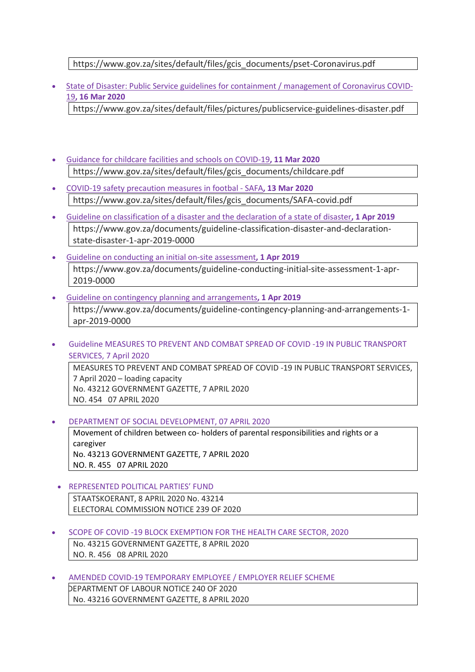#### https://www.gov.za/sites/default/files/gcis\_documents/pset-Coronavirus.pdf

• State of Disaster: Public Service guidelines for containment / [management](https://www.gov.za/sites/default/files/pictures/publicservice-guidelines-disaster.pdf) of Coronavirus COVID-[19](https://www.gov.za/sites/default/files/pictures/publicservice-guidelines-disaster.pdf)**, 16 Mar 2020**

https://www.gov.za/sites/default/files/pictures/publicservice-guidelines-disaster.pdf

- Guidance for childcare facilities and schools on [COVID-19](https://www.gov.za/sites/default/files/gcis_documents/childcare.pdf)**, 11 Mar 2020** https://www.gov.za/sites/default/files/gcis\_documents/childcare.pdf
- COVID-19 safety [precaution](https://www.gov.za/sites/default/files/gcis_documents/SAFA-covid.pdf) measures in footbal SAFA**, 13 Mar 2020** https://www.gov.za/sites/default/files/gcis\_documents/SAFA-covid.pdf
- Guideline on [classification](https://www.gov.za/documents/guideline-classification-disaster-and-declaration-state-disaster-1-apr-2019-0000) of a disaster and the declaration of a state of disaster**, 1 Apr 2019** https://www.gov.za/documents/guideline-classification-disaster-and-declarationstate-disaster-1-apr-2019-0000
- Guideline on conducting an initial on-site [assessment](https://www.gov.za/documents/guideline-conducting-initial-site-assessment-1-apr-2019-0000)**, 1 Apr 2019** https://www.gov.za/documents/guideline-conducting-initial-site-assessment-1-apr-2019-0000
- Guideline on contingency planning and [arrangements](https://www.gov.za/documents/guideline-contingency-planning-and-arrangements-1-apr-2019-0000)**, 1 Apr 2019** https://www.gov.za/documents/guideline-contingency-planning-and-arrangements-1 apr-2019-0000
- Guideline MEASURES TO PREVENT AND COMBAT SPREAD OF COVID -19 IN PUBLIC TRANSPORT SERVICES, 7 April 2020 MEASURES TO PREVENT AND COMBAT SPREAD OF COVID -19 IN PUBLIC TRANSPORT SERVICES,

7 April 2020 – loading capacity No. 43212 GOVERNMENT GAZETTE, 7 APRIL 2020 NO. 454 07 APRIL 2020

• DEPARTMENT OF SOCIAL DEVELOPMENT, 07 APRIL 2020

Movement of children between co- holders of parental responsibilities and rights or a caregiver No. 43213 GOVERNMENT GAZETTE, 7 APRIL 2020 NO. R. 455 07 APRIL 2020

- REPRESENTED POLITICAL PARTIES' FUND STAATSKOERANT, 8 APRIL 2020 No. 43214 ELECTORAL COMMISSION NOTICE 239 OF 2020
- SCOPE OF COVID -19 BLOCK EXEMPTION FOR THE HEALTH CARE SECTOR, 2020 No. 43215 GOVERNMENT GAZETTE, 8 APRIL 2020 NO. R. 456 08 APRIL 2020
- AMENDED COVID-19 TEMPORARY EMPLOYEE / EMPLOYER RELIEF SCHEME DEPARTMENT OF LABOUR NOTICE 240 OF 2020 No. 43216 GOVERNMENT GAZETTE, 8 APRIL 2020